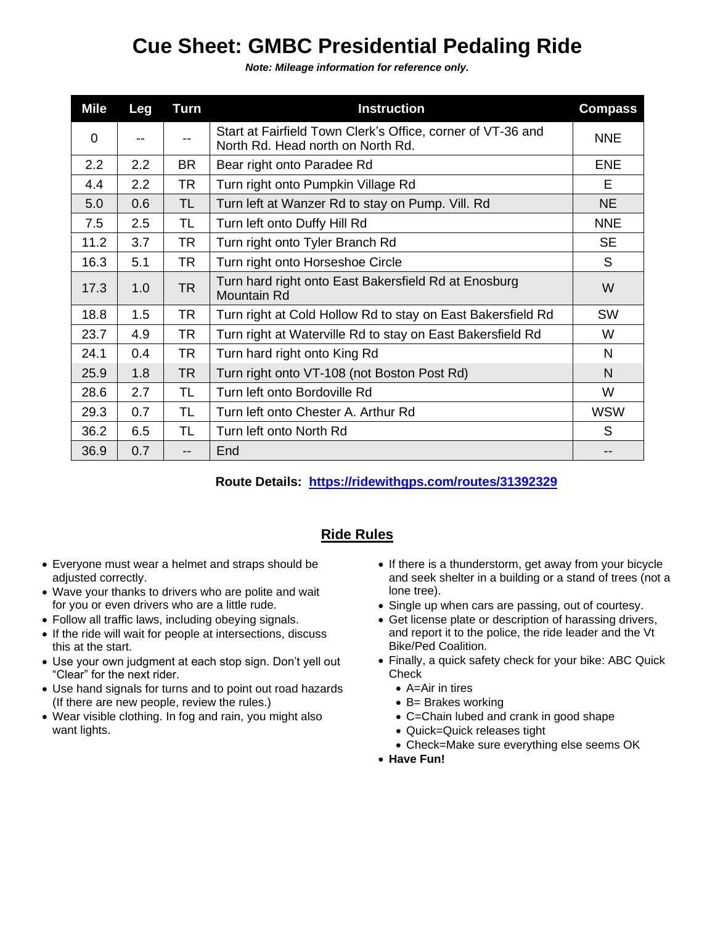## **Cue Sheet: GMBC Presidential Pedaling Ride**

*Note: Mileage information for reference only.*

| <b>Mile</b>    | <b>Leg</b> | Turn      | <b>Instruction</b>                                                                               | <b>Compass</b> |
|----------------|------------|-----------|--------------------------------------------------------------------------------------------------|----------------|
| $\overline{0}$ |            |           | Start at Fairfield Town Clerk's Office, corner of VT-36 and<br>North Rd. Head north on North Rd. | <b>NNE</b>     |
| 2.2            | 2.2        | BR.       | Bear right onto Paradee Rd                                                                       | <b>ENE</b>     |
| 4.4            | 2.2        | <b>TR</b> | Turn right onto Pumpkin Village Rd                                                               | Е              |
| 5.0            | 0.6        | <b>TL</b> | Turn left at Wanzer Rd to stay on Pump. Vill. Rd                                                 | <b>NE</b>      |
| 7.5            | 2.5        | TL        | Turn left onto Duffy Hill Rd                                                                     | <b>NNE</b>     |
| 11.2           | 3.7        | TR        | Turn right onto Tyler Branch Rd                                                                  | <b>SE</b>      |
| 16.3           | 5.1        | <b>TR</b> | Turn right onto Horseshoe Circle                                                                 | S              |
| 17.3           | 1.0        | <b>TR</b> | Turn hard right onto East Bakersfield Rd at Enosburg<br><b>Mountain Rd</b>                       | W              |
| 18.8           | 1.5        | <b>TR</b> | Turn right at Cold Hollow Rd to stay on East Bakersfield Rd                                      | <b>SW</b>      |
| 23.7           | 4.9        | <b>TR</b> | Turn right at Waterville Rd to stay on East Bakersfield Rd                                       | W              |
| 24.1           | 0.4        | <b>TR</b> | Turn hard right onto King Rd                                                                     | N              |
| 25.9           | 1.8        | <b>TR</b> | Turn right onto VT-108 (not Boston Post Rd)                                                      | N              |
| 28.6           | 2.7        | TL        | Turn left onto Bordoville Rd                                                                     | W              |
| 29.3           | 0.7        | TL        | Turn left onto Chester A. Arthur Rd                                                              | <b>WSW</b>     |
| 36.2           | 6.5        | TL        | Turn left onto North Rd                                                                          | S              |
| 36.9           | 0.7        | $-$       | End                                                                                              |                |

**Route Details: <https://ridewithgps.com/routes/31392329>**

## **Ride Rules**

- Everyone must wear a helmet and straps should be adjusted correctly.
- Wave your thanks to drivers who are polite and wait for you or even drivers who are a little rude.
- Follow all traffic laws, including obeying signals.
- If the ride will wait for people at intersections, discuss this at the start.
- Use your own judgment at each stop sign. Don't yell out "Clear" for the next rider.
- Use hand signals for turns and to point out road hazards (If there are new people, review the rules.)
- Wear visible clothing. In fog and rain, you might also want lights.
- If there is a thunderstorm, get away from your bicycle and seek shelter in a building or a stand of trees (not a lone tree).
- Single up when cars are passing, out of courtesy.
- Get license plate or description of harassing drivers, and report it to the police, the ride leader and the Vt Bike/Ped Coalition.
- Finally, a quick safety check for your bike: ABC Quick **Check** 
	- A=Air in tires
	- B= Brakes working
	- C=Chain lubed and crank in good shape
	- Quick=Quick releases tight
	- Check=Make sure everything else seems OK
- **Have Fun!**